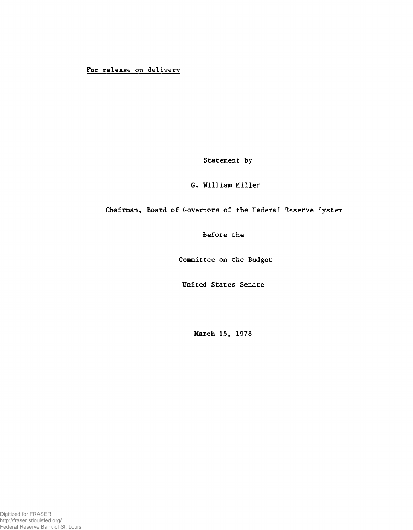## For release on delivery

Statement by

## G, William Miller

## Chairman, Board of Governors of the Federal Reserve System

before the

Committee on the Budget

United States Senate

March 15, 1978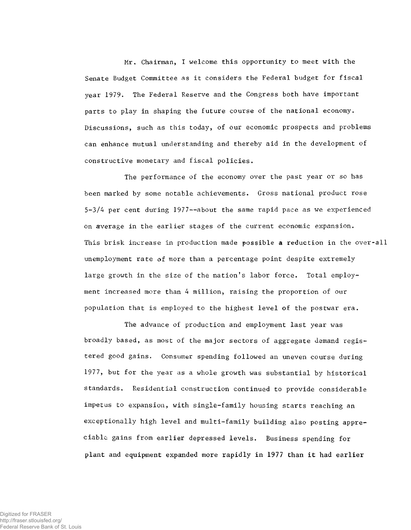Mr. Chairman, I welcome this opportunity to meet with the Senate Budget Committee as it considers the Federal budget for fiscal year 1979. The Federal Reserve and the Congress both have important parts to play in shaping the future course of the national economy. Discussions, such as this today, of our economic prospects and problems can enhance mutual understanding and thereby aid in the development of constructive monetary and fiscal policies.

The performance of the economy over the past year or so has been marked by some notable achievements. Gross national product rose 5-3/4 per cent during 1977—about the same rapid pace as we experienced on average in the earlier stages of the current economic expansion. This brisk increase in production made possible a reduction in the over-all unemployment rate of more than a percentage point despite extremely large growth in the size of the nation's labor force. Total employment increased more than 4 million, raising the proportion of our population that is employed to the highest level of the postwar era.

The advance of production and employment last year was broadly based, as most of the major sectors of aggregate demand registered good gains. Consumer spending followed an uneven course during 1977, but for the year as a whole growth was substantial by historical standards. Residential construction continued to provide considerable impetus to expansion, with single-family housing starts reaching an exceptionally high level and multi-family building also posting appreciable gains from earlier depressed levels. Business spending for plant and equipment expanded more rapidly in 1977 than it had earlier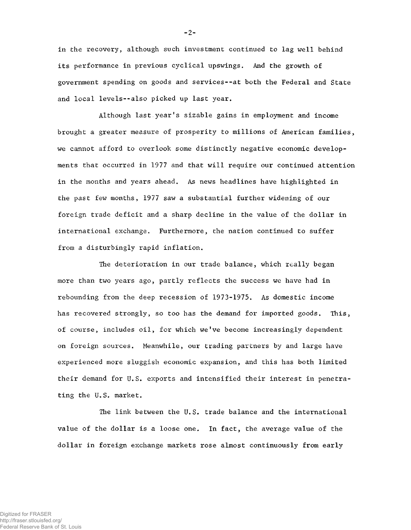in the recovery, although such investment continued to lag well behind its performance in previous cyclical upswings. And the growth of government spending on goods and services--at both the Federal and State and local levels--also picked up last year.

Although last year's sizable gains in employment and income brought a greater measure of prosperity to millions of American families, we cannot afford to overlook some distinctly negative economic developments that occurred in 1977 and that will require our continued attention in the months and years ahead. As news headlines have highlighted in the past few months, 1977 saw a substantial further widening of our foreign trade deficit and a sharp decline in the value of the dollar in international exchange. Furthermore, the nation continued to suffer from a disturbingly rapid inflation.

The deterioration in our trade balance, which really began more than two years ago, partly reflects the success we have had in rebounding from the deep recession of 1973-1975. As domestic income has recovered strongly, so too has the demand for imported goods. This, of course, includes oil, for which we've become increasingly dependent on foreign sources. Meanwhile, our trading partners by and large have experienced more sluggish economic expansion, and this has both limited their demand for U.S. exports and intensified their interest in penetrating the U.S. market.

The link between the U.S. trade balance and the international value of the dollar is a loose one. In fact, the average value of the dollar in foreign exchange markets rose almost continuously from early

 $-2-$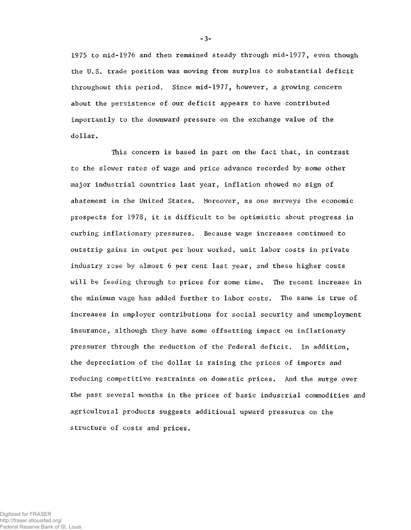1975 to mid-1976 and then remained steady through mid-1977, even though the U.S. trade position was moving from surplus to substantial deficit throughout this period. Since mid-1977, however, a growing concern about the persistence of our deficit appears to have contributed importantly to the downward pressure on the exchange value of the dollar.

This concern is based in part on the fact that, in contrast to the slower rates of wage and price advance recorded by some other major industrial countries last year, inflation showed no sign of abatement in the United States. Moreover, as one surveys the economic prospects for 1978, it is difficult to be optimistic about progress in curbing inflationary pressures. Because wage increases continued to outstrip gains in output per hour worked, unit labor costs in private industry rose by almost 6 per cent last year, and these higher costs will be feeding through to prices for some time. The recent increase in the minimum wage has added further to labor costs. The same is true of increases in employer contributions for social security and unemployment insurance, although they have some offsetting impact on inflationary pressures through the reduction of the Federal deficit. In addition, the depreciation of the dollar is raising the prices of imports and reducing competitive restraints on domestic prices. And the surge over the past several months in the prices of basic industrial commodities and agricultural products suggests additional upward pressures on the structure of costs and prices.

~3-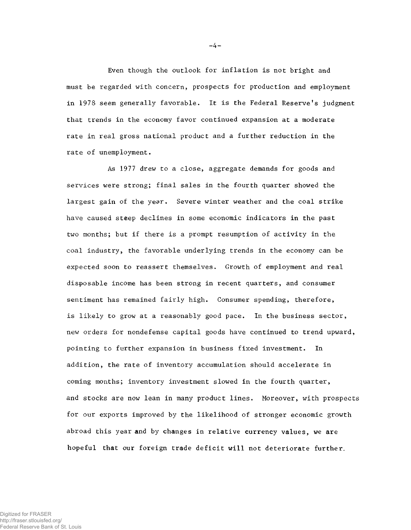Even though the outlook for inflation is not bright and must be regarded with concern, prospects for production and employment in 1978 seem generally favorable. It is the Federal Reserve's judgment that trends in the economy favor continued expansion at a moderate rate in real gross national product and a further reduction in the rate of unemployment.

As 1977 drew to a close, aggregate demands for goods and services were strong; final sales in the fourth quarter showed the largest gain of the year. Severe winter weather and the coal strike have caused steep declines in some economic indicators in the past two months; but if there is a prompt resumption of activity in the coal industry, the favorable underlying trends in the economy can be expected soon to reassert themselves. Growth of employment and real disposable income has been strong in recent quarters, and consumer sentiment has remained fairly high. Consumer spending, therefore, is likely to grow at a reasonably good pace. In the business sector, new orders for nondefense capital goods have continued to trend upward, pointing to further expansion in business fixed investment. In addition, the rate of inventory accumulation should accelerate in coming months; inventory investment slowed in the fourth quarter, and stocks are now lean in many product lines. Moreover, with prospects for our exports improved by the likelihood of stronger economic growth abroad this year and by changes in relative currency values, we are hopeful that our foreign trade deficit will not deteriorate further.

 $-4 -$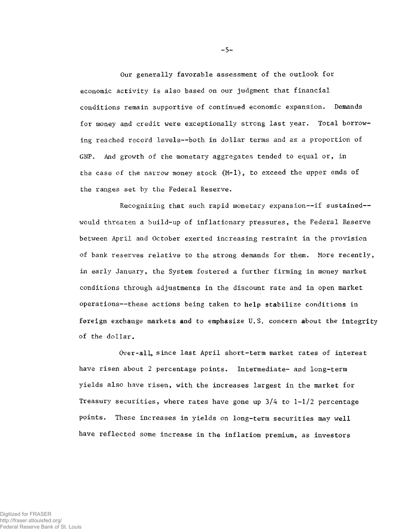Our generally favorable assessment of the outlook for economic activity is also based on our judgment that financial conditions remain supportive of continued economic expansion. Demands for money and credit were exceptionally strong last year, Total borrowing reached record levels-—both in dollar terms and as a proportion of GNP. And growth of the monetary aggregates tended to equal or, in the case of the narrow money stock  $(M-1)$ , to exceed the upper ends of the ranges set by the Federal Reserve.

Recognizing that such rapid monetary expansion—if sustained would threaten a build-up of inflationary pressures, the Federal Reserve between April and October exerted increasing restraint in the provision of bank reserves relative to the strong demands for them. More recently, in early January, the System fostered a further firming in money market conditions through adjustments in the discount rate and in open market operations—these actions being taken to help stabilize conditions in foreign exchange markets and to emphasize U.S. concern about the integrity of the dollar.

Over-all, since last April short-term market rates of interest have risen about 2 percentage points. Intermediate- and long-term yields also have risen, with the increases largest in the market for Treasury securities, where rates have gone up  $3/4$  to  $1-1/2$  percentage points. These increases in yields on long-term securities may well have reflected some increase in the inflation premium, as investors

 $-5-$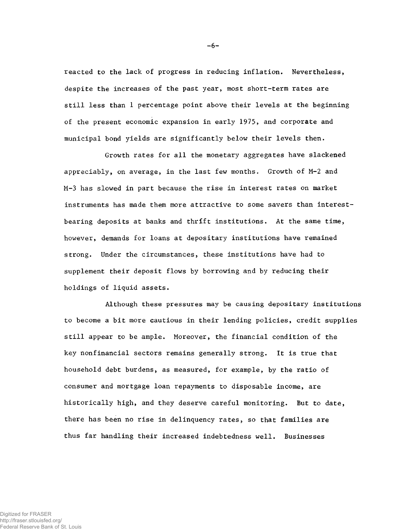reacted to the lack of progress in reducing inflation. Nevertheless, despite the increases of the past year, most short-term rates are still less than 1 percentage point above their levels at the beginning of the present economic expansion in early 1975, and corporate and municipal bond yields are significantly below their levels then.

Growth rates for all the monetary aggregates have slackened appreciably, on average, in the last few months. Growth of M-2 and M-3 has slowed in part because the rise in interest rates on market instruments has made them more attractive to some savers than interestbearing deposits at banks and thrift institutions. At the same time, however, demands for loans at depositary institutions have remained strong. Under the circumstances, these institutions have had to supplement their deposit flows by borrowing and by reducing their holdings of liquid assets.

Although these pressures may be causing depositary institutions to become a bit more cautious in their lending policies, credit supplies still appear to be ample. Moreover, the financial condition of the key nonfinancial sectors remains generally strong. It is true that household debt burdens, as measured, for example, by the ratio of consumer and mortgage loan repayments to disposable income, are historically high, and they deserve careful monitoring. But to date, there has been no rise in delinquency rates, so that families are thus far handling their increased indebtedness well. Businesses

Digitized for FRASER http://fraser.stlouisfed.org/ Federal Reserve Bank of St. Louis  $-6-$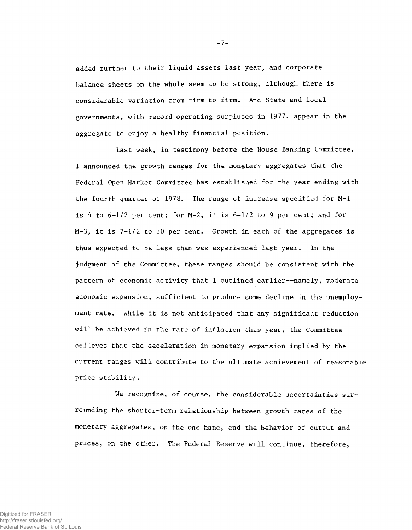added further to their liquid assets last year, and corporate balance sheets on the whole seem to be strong, although there is considerable variation from firm to firm. And State and local governments, with record operating surpluses in 1977, appear in the aggregate to enjoy a healthy financial position.

Last week, in testimony before the House Banking Committee, I announced the growth ranges for the monetary aggregates that the Federal Open Market Committee has established for the year ending with the fourth quarter of 1978. The range of increase specified for M-l is 4 to  $6-1/2$  per cent; for M-2, it is  $6-1/2$  to 9 per cent; and for  $M-3$ , it is  $7-1/2$  to 10 per cent. Growth in each of the aggregates is thus expected to be less than was experienced last year. In the judgment of the Committee, these ranges should be consistent with the pattern of economic activity that I outlined earlier—namely, moderate economic expansion, sufficient to produce some decline in the unemployment rate. While it is not anticipated that any significant reduction will be achieved in the rate of inflation this year, the Committee believes that the deceleration in monetary expansion implied by the current ranges will contribute to the ultimate achievement of reasonable price stability.

We recognize, of course, the considerable uncertainties surrounding the shorter-term relationship between growth rates of the monetary aggregates, on the one hand, and the behavior of output and prices, on the other. The Federal Reserve will continue, therefore,

Digitized for FRASER http://fraser.stlouisfed.org/

Federal Reserve Bank of St. Louis

 $-7-$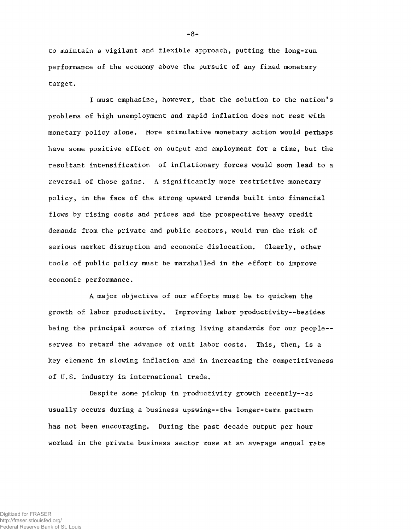to maintain a vigilant and flexible approach, putting the long-run performance of the economy above the pursuit of any fixed monetary target.

I must emphasize, however, that the solution to the nation's problems of high unemployment and rapid inflation does not rest with monetary policy alone. More stimulative monetary action would perhaps have some positive effect on output and employment for a time, but the resultant intensification of inflationary forces would soon lead to a reversal of those gains. A significantly more restrictive monetary policy, in the face of the strong upward trends built into financial flows by rising costs and prices and the prospective heavy credit demands from the private and public sectors, would run the risk of serious market disruption and economic dislocation. Clearly, other tools of public policy must be marshalled in the effort to improve economic performance.

A major objective of our efforts must be to quicken the growth of labor productivity. Improving labor productivity--besides being the principal source of rising living standards for our people- serves to retard the advance of unit labor costs. This, then, is a key element in slowing inflation and in increasing the competitiveness of U.S. industry in international trade.

Despite some pickup in productivity growth recently--as usually occurs during a business upswing--the longer-term pattern has not been encouraging. During the past decade output per hour worked in the private business sector rose at an average annual rate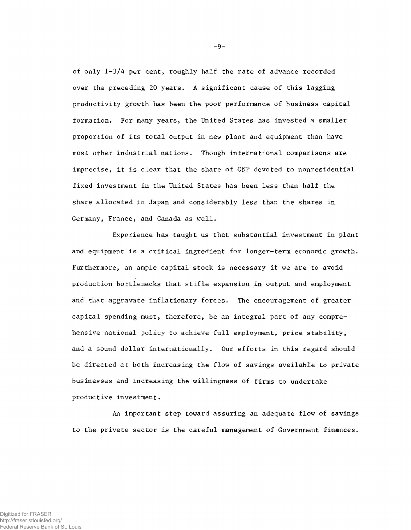of only 1-3/4 per cent, roughly half the rate of advance recorded over the preceding 20 years. A significant cause of this lagging productivity growth has been the poor performance of business capital formation. For many years, the United States has invested a smaller proportion of its total output in new plant and equipment than have most other industrial nations. Though international comparisons are imprecise, it is clear that the share of GNP devoted to nonresidential fixed investment in the United States has been less than half the share allocated in Japan and considerably less than the shares in Germany, France, and Canada as well.

Experience has taught us that substantial investment in plant and equipment is a critical ingredient for longer-term economic growth. Furthermore, an ample capital stock is necessary if we are to avoid production bottlenecks that stifle expansion in output and employment and that aggravate inflationary forces. The encouragement of greater capital spending must, therefore, be an integral part of any comprehensive national policy to achieve full employment, price stability, and a sound dollar internationally. Our efforts in this regard should be directed at both increasing the flow of savings available to private businesses and increasing the willingness of firms to undertake productive investment.

An important step toward assuring an adequate flow of savings to the private sector is the careful management of Government finances.

 $-9-$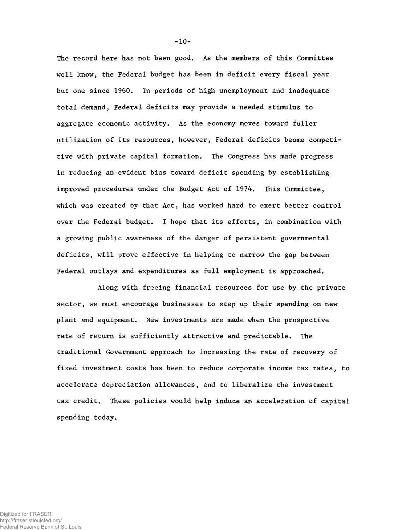The record here has not been good. As the members of this Committee well know, the Federal budget has been in deficit every fiscal year but one since 1960. In periods of high unemployment and inadequate total demand, Federal deficits may provide a needed stimulus to aggregate economic activity. As the economy moves toward fuller utilization of its resources, however, Federal deficits beome competitive with private capital formation. The Congress has made progress in reducing an evident bias toward deficit spending by establishing improved procedures under the Budget Act of 1974. This Committee, which was created by that Act, has worked hard to exert better control over the Federal budget. I hope that its efforts, in combination with a growing public awareness of the danger of persistent governmental deficits, will prove effective in helping to narrow the gap between Federal outlays and expenditures as full employment is approached.

Along with freeing financial resources for use by the private sector, we must encourage businesses to step up their spending on new plant and equipment. New investments are made when the prospective rate of return is sufficiently attractive and predictable. The traditional Government approach to increasing the rate of recovery of fixed investment costs has been to reduce corporate income tax rates, to accelerate depreciation allowances, and to liberalize the investment tax credit. These policies would help induce an acceleration of capital spending today.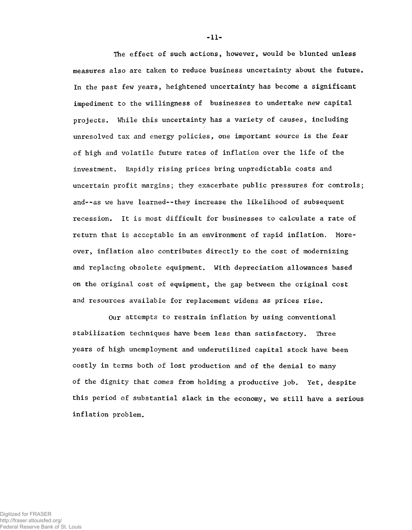The effect of such actions, however, would be blunted unless measures also are taken to reduce business uncertainty about the future. In the past few years, heightened uncertainty has become a significant impediment to the willingness of businesses to undertake new capital projects. While this uncertainty has a variety of causes, including unresolved tax and energy policies, one important source is the fear of high and volatile future rates of inflation over the life of the investment. Rapidly rising prices bring unpredictable costs and uncertain profit margins; they exacerbate public pressures for controls; and--as we have learned--they increase the likelihood of subsequent recession. It is most difficult for businesses to calculate a rate of return that is acceptable in an environment of rapid inflation. Moreover, inflation also contributes directly to the cost of modernizing and replacing obsolete equipment. With depreciation allowances based on the original cost of equipment, the gap between the original cost and resources available for replacement widens as prices rise.

Our attempts to restrain inflation by using conventional stabilization techniques have been less than satisfactory. Three years of high unemployment and underutilized capital stock have been costly in terms both of lost production and of the denial to many of the dignity that comes from holding a productive job. Yet, despite this period of substantial slack in the economy, we still have a serious inflation problem.

-11-